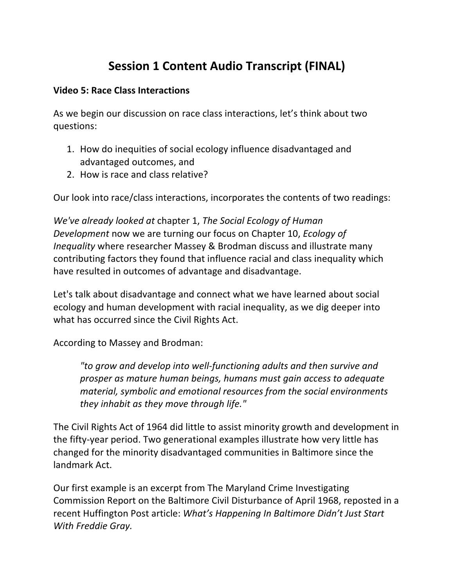## **Session 1 Content Audio Transcript (FINAL)**

## **Video 5: Race Class Interactions**

As we begin our discussion on race class interactions, let's think about two questions:

- 1. How do inequities of social ecology influence disadvantaged and advantaged outcomes, and
- 2. How is race and class relative?

Our look into race/class interactions, incorporates the contents of two readings:

*We've already looked at chapter 1, The Social Ecology of Human Development* now we are turning our focus on Chapter 10, *Ecology of Inequality* where researcher Massey & Brodman discuss and illustrate many contributing factors they found that influence racial and class inequality which have resulted in outcomes of advantage and disadvantage.

Let's talk about disadvantage and connect what we have learned about social ecology and human development with racial inequality, as we dig deeper into what has occurred since the Civil Rights Act.

According to Massey and Brodman:

*"to grow and develop into well-functioning adults and then survive and*  prosper as mature human beings, humans must gain access to adequate material, symbolic and emotional resources from the social environments *they inhabit as they move through life."* 

The Civil Rights Act of 1964 did little to assist minority growth and development in the fifty-year period. Two generational examples illustrate how very little has changed for the minority disadvantaged communities in Baltimore since the landmark Act.

Our first example is an excerpt from The Maryland Crime Investigating Commission Report on the Baltimore Civil Disturbance of April 1968, reposted in a recent Huffington Post article: *What's Happening In Baltimore Didn't Just Start With Freddie Gray.*